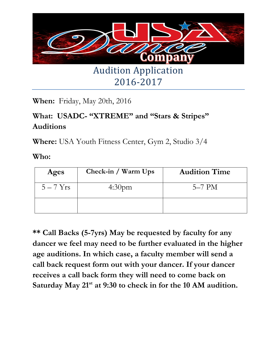

2016-2017

**When:** Friday, May 20th, 2016

## **What: USADC- "XTREME" and "Stars & Stripes" Auditions**

**Where:** USA Youth Fitness Center, Gym 2, Studio 3/4

**Who:**

| Ages      | Check-in / Warm Ups | <b>Audition Time</b> |
|-----------|---------------------|----------------------|
| $5-7$ Yrs | 4:30 <sub>pm</sub>  | $5-7$ PM             |
|           |                     |                      |

**\*\* Call Backs (5-7yrs) May be requested by faculty for any dancer we feel may need to be further evaluated in the higher age auditions. In which case, a faculty member will send a call back request form out with your dancer. If your dancer receives a call back form they will need to come back on Saturday May 21st at 9:30 to check in for the 10 AM audition.**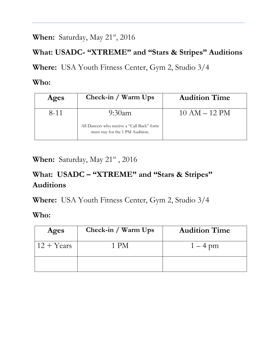When: Saturday, May 21<sup>st</sup>, 2016

#### **What: USADC- "XTREME" and "Stars & Stripes" Auditions**

**Where:** USA Youth Fitness Center, Gym 2, Studio 3/4

#### **Who:**

| Ages     | Check-in / Warm Ups                                                            | <b>Audition Time</b> |
|----------|--------------------------------------------------------------------------------|----------------------|
| $8 - 11$ | $9:30$ am                                                                      | $10 AM - 12 PM$      |
|          | All Dancers who receive a "Call Back" form<br>must stay for the 1 PM Audition. |                      |

**When:** Saturday, May 21<sup>st</sup>, 2016

## **What: USADC – "XTREME" and "Stars & Stripes" Auditions**

**Where:** USA Youth Fitness Center, Gym 2, Studio 3/4

**Who:**

| Ages                | Check-in / Warm Ups | <b>Audition Time</b> |
|---------------------|---------------------|----------------------|
| $12 + \text{Years}$ | 1 PM                | $1-4$ pm             |
|                     |                     |                      |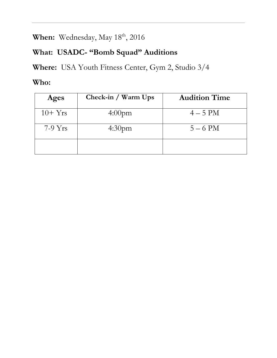When: Wednesday, May 18<sup>th</sup>, 2016

## **What: USADC- "Bomb Squad" Auditions**

**Where:** USA Youth Fitness Center, Gym 2, Studio 3/4

#### **Who:**

| Ages      | Check-in / Warm Ups | <b>Audition Time</b> |
|-----------|---------------------|----------------------|
| $10+Yrs$  | 4:00 <sub>pm</sub>  | $4-5$ PM             |
| $7-9$ Yrs | 4:30 <sub>pm</sub>  | $5 - 6$ PM           |
|           |                     |                      |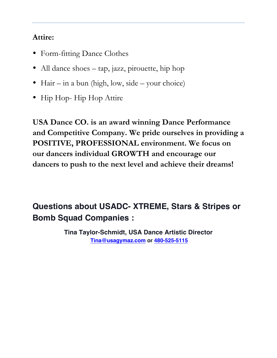#### **Attire:**

- Form-fitting Dance Clothes
- All dance shoes tap, jazz, pirouette, hip hop
- Hair in a bun (high, low, side your choice)
- Hip Hop-Hip Hop Attire

**USA Dance CO. is an award winning Dance Performance and Competitive Company. We pride ourselves in providing a POSITIVE, PROFESSIONAL environment. We focus on our dancers individual GROWTH and encourage our dancers to push to the next level and achieve their dreams!**

## **Questions about USADC- XTREME, Stars & Stripes or Bomb Squad Companies :**

**Tina Taylor-Schmidt, USA Dance Artistic Director Tina@usagymaz.com or 480-525-5115**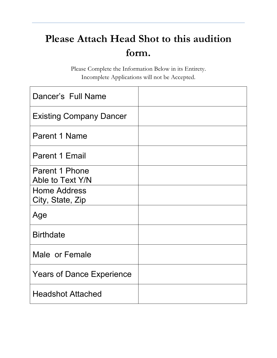# **Please Attach Head Shot to this audition form.**

Please Complete the Information Below in its Entirety. Incomplete Applications will not be Accepted.

| Dancer's Full Name                      |  |
|-----------------------------------------|--|
| <b>Existing Company Dancer</b>          |  |
| Parent 1 Name                           |  |
| <b>Parent 1 Email</b>                   |  |
| Parent 1 Phone<br>Able to Text Y/N      |  |
| <b>Home Address</b><br>City, State, Zip |  |
| Age                                     |  |
| <b>Birthdate</b>                        |  |
| Male or Female                          |  |
| <b>Years of Dance Experience</b>        |  |
| <b>Headshot Attached</b>                |  |